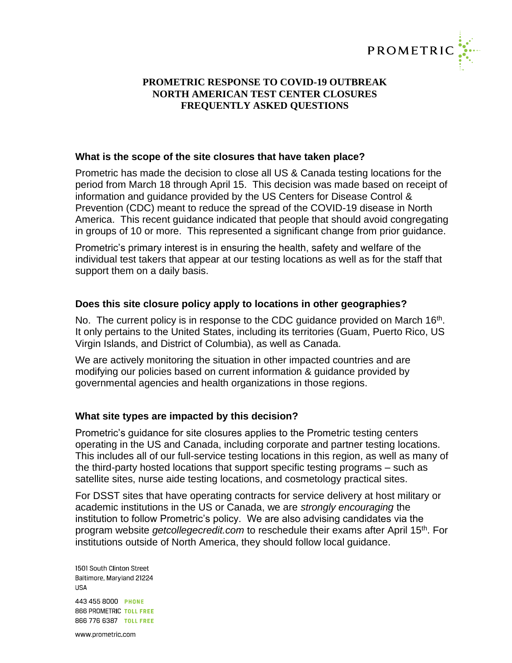

#### **What is the scope of the site closures that have taken place?**

Prometric has made the decision to close all US & Canada testing locations for the period from March 18 through April 15. This decision was made based on receipt of information and guidance provided by the US Centers for Disease Control & Prevention (CDC) meant to reduce the spread of the COVID-19 disease in North America. This recent guidance indicated that people that should avoid congregating in groups of 10 or more. This represented a significant change from prior guidance.

Prometric's primary interest is in ensuring the health, safety and welfare of the individual test takers that appear at our testing locations as well as for the staff that support them on a daily basis.

# **Does this site closure policy apply to locations in other geographies?**

No. The current policy is in response to the CDC guidance provided on March  $16<sup>th</sup>$ . It only pertains to the United States, including its territories (Guam, Puerto Rico, US Virgin Islands, and District of Columbia), as well as Canada.

We are actively monitoring the situation in other impacted countries and are modifying our policies based on current information & guidance provided by governmental agencies and health organizations in those regions.

# **What site types are impacted by this decision?**

Prometric's guidance for site closures applies to the Prometric testing centers operating in the US and Canada, including corporate and partner testing locations. This includes all of our full-service testing locations in this region, as well as many of the third-party hosted locations that support specific testing programs – such as satellite sites, nurse aide testing locations, and cosmetology practical sites.

For DSST sites that have operating contracts for service delivery at host military or academic institutions in the US or Canada, we are *strongly encouraging* the institution to follow Prometric's policy. We are also advising candidates via the program website *getcollegecredit.com* to reschedule their exams after April 15th. For institutions outside of North America, they should follow local guidance.

1501 South Clinton Street Baltimore, Maryland 21224 **USA** 443 455 8000 PHONE **866 PROMETRIC TOLL FREE** 866 776 6387 TOLL FREE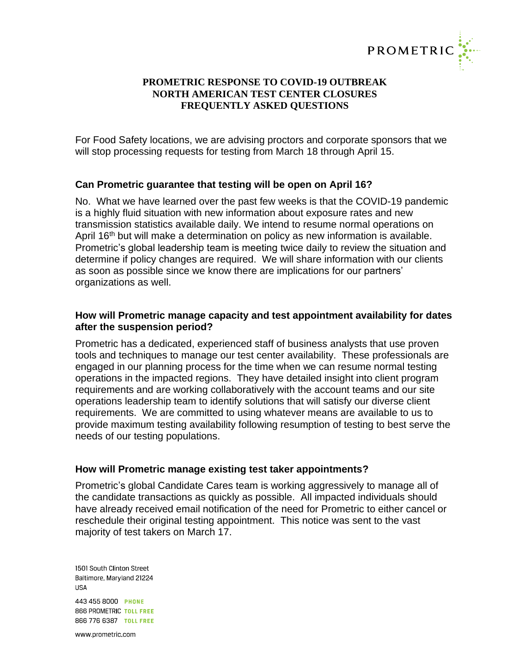

For Food Safety locations, we are advising proctors and corporate sponsors that we will stop processing requests for testing from March 18 through April 15.

### **Can Prometric guarantee that testing will be open on April 16?**

No. What we have learned over the past few weeks is that the COVID-19 pandemic is a highly fluid situation with new information about exposure rates and new transmission statistics available daily. We intend to resume normal operations on April 16<sup>th</sup> but will make a determination on policy as new information is available. Prometric's global leadership team is meeting twice daily to review the situation and determine if policy changes are required. We will share information with our clients as soon as possible since we know there are implications for our partners' organizations as well.

### **How will Prometric manage capacity and test appointment availability for dates after the suspension period?**

Prometric has a dedicated, experienced staff of business analysts that use proven tools and techniques to manage our test center availability. These professionals are engaged in our planning process for the time when we can resume normal testing operations in the impacted regions. They have detailed insight into client program requirements and are working collaboratively with the account teams and our site operations leadership team to identify solutions that will satisfy our diverse client requirements. We are committed to using whatever means are available to us to provide maximum testing availability following resumption of testing to best serve the needs of our testing populations.

#### **How will Prometric manage existing test taker appointments?**

Prometric's global Candidate Cares team is working aggressively to manage all of the candidate transactions as quickly as possible. All impacted individuals should have already received email notification of the need for Prometric to either cancel or reschedule their original testing appointment. This notice was sent to the vast majority of test takers on March 17.

1501 South Clinton Street Baltimore, Maryland 21224 **USA** 443 455 8000 PHONE 866 PROMETRIC TOLL FREE 866 776 6387 TOLL FREE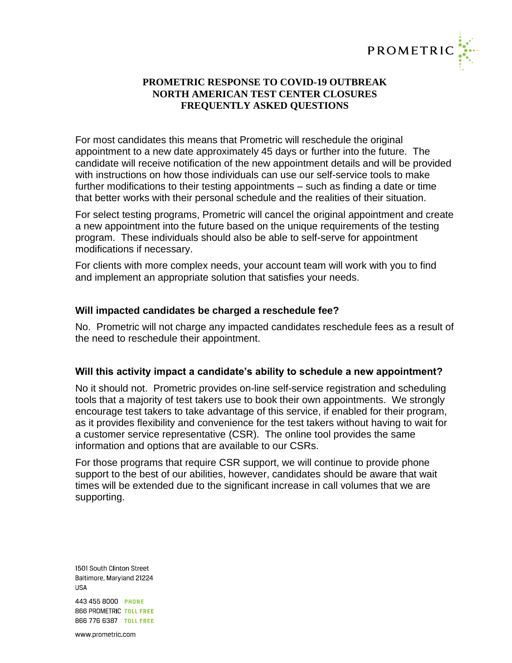

For most candidates this means that Prometric will reschedule the original appointment to a new date approximately 45 days or further into the future. The candidate will receive notification of the new appointment details and will be provided with instructions on how those individuals can use our self-service tools to make further modifications to their testing appointments – such as finding a date or time that better works with their personal schedule and the realities of their situation.

For select testing programs, Prometric will cancel the original appointment and create a new appointment into the future based on the unique requirements of the testing program. These individuals should also be able to self-serve for appointment modifications if necessary.

For clients with more complex needs, your account team will work with you to find and implement an appropriate solution that satisfies your needs.

# **Will impacted candidates be charged a reschedule fee?**

No. Prometric will not charge any impacted candidates reschedule fees as a result of the need to reschedule their appointment.

# **Will this activity impact a candidate's ability to schedule a new appointment?**

No it should not. Prometric provides on-line self-service registration and scheduling tools that a majority of test takers use to book their own appointments. We strongly encourage test takers to take advantage of this service, if enabled for their program, as it provides flexibility and convenience for the test takers without having to wait for a customer service representative (CSR). The online tool provides the same information and options that are available to our CSRs.

For those programs that require CSR support, we will continue to provide phone support to the best of our abilities, however, candidates should be aware that wait times will be extended due to the significant increase in call volumes that we are supporting.

1501 South Clinton Street Baltimore, Maryland 21224 **USA** 443 455 8000 PHONE 866 PROMETRIC TOLL FREE 866 776 6387 TOLL FREE